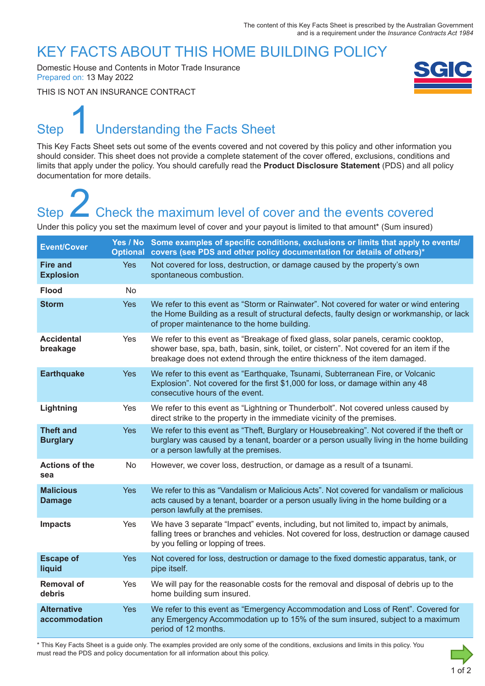### KEY FACTS ABOUT THIS HOME BUILDING POLICY

Domestic House and Contents in Motor Trade Insurance Prepared on: 13 May 2022

THIS IS NOT AN INSURANCE CONTRACT



# Step Understanding the Facts Sheet 1

This Key Facts Sheet sets out some of the events covered and not covered by this policy and other information you should consider. This sheet does not provide a complete statement of the cover offered, exclusions, conditions and limits that apply under the policy. You should carefully read the **Product Disclosure Statement** (PDS) and all policy documentation for more details.

# Step **Check the maximum level of cover and the events covered** Step<br>
2 Check the maximum level of cover and the events covered<br>
Under this policy you set the maximum level of cover and your payout is limited to that amount\* (Sum insured)

| <b>Event/Cover</b>                  |            | Yes / No Some examples of specific conditions, exclusions or limits that apply to events/<br>Optional covers (see PDS and other policy documentation for details of others)*                                                                                 |
|-------------------------------------|------------|--------------------------------------------------------------------------------------------------------------------------------------------------------------------------------------------------------------------------------------------------------------|
| <b>Fire and</b><br><b>Explosion</b> | <b>Yes</b> | Not covered for loss, destruction, or damage caused by the property's own<br>spontaneous combustion.                                                                                                                                                         |
| <b>Flood</b>                        | No         |                                                                                                                                                                                                                                                              |
| <b>Storm</b>                        | <b>Yes</b> | We refer to this event as "Storm or Rainwater". Not covered for water or wind entering<br>the Home Building as a result of structural defects, faulty design or workmanship, or lack<br>of proper maintenance to the home building.                          |
| <b>Accidental</b><br>breakage       | Yes        | We refer to this event as "Breakage of fixed glass, solar panels, ceramic cooktop,<br>shower base, spa, bath, basin, sink, toilet, or cistern". Not covered for an item if the<br>breakage does not extend through the entire thickness of the item damaged. |
| <b>Earthquake</b>                   | Yes        | We refer to this event as "Earthquake, Tsunami, Subterranean Fire, or Volcanic<br>Explosion". Not covered for the first \$1,000 for loss, or damage within any 48<br>consecutive hours of the event.                                                         |
| Lightning                           | Yes        | We refer to this event as "Lightning or Thunderbolt". Not covered unless caused by<br>direct strike to the property in the immediate vicinity of the premises.                                                                                               |
| <b>Theft and</b><br><b>Burglary</b> | <b>Yes</b> | We refer to this event as "Theft, Burglary or Housebreaking". Not covered if the theft or<br>burglary was caused by a tenant, boarder or a person usually living in the home building<br>or a person lawfully at the premises.                               |
| <b>Actions of the</b><br>sea        | <b>No</b>  | However, we cover loss, destruction, or damage as a result of a tsunami.                                                                                                                                                                                     |
| <b>Malicious</b><br><b>Damage</b>   | <b>Yes</b> | We refer to this as "Vandalism or Malicious Acts". Not covered for vandalism or malicious<br>acts caused by a tenant, boarder or a person usually living in the home building or a<br>person lawfully at the premises.                                       |
| <b>Impacts</b>                      | Yes        | We have 3 separate "Impact" events, including, but not limited to, impact by animals,<br>falling trees or branches and vehicles. Not covered for loss, destruction or damage caused<br>by you felling or lopping of trees.                                   |
| <b>Escape of</b><br>liquid          | <b>Yes</b> | Not covered for loss, destruction or damage to the fixed domestic apparatus, tank, or<br>pipe itself.                                                                                                                                                        |
| <b>Removal of</b><br>debris         | Yes        | We will pay for the reasonable costs for the removal and disposal of debris up to the<br>home building sum insured.                                                                                                                                          |
| <b>Alternative</b><br>accommodation | <b>Yes</b> | We refer to this event as "Emergency Accommodation and Loss of Rent". Covered for<br>any Emergency Accommodation up to 15% of the sum insured, subject to a maximum<br>period of 12 months.                                                                  |

\* This Key Facts Sheet is a guide only. The examples provided are only some of the conditions, exclusions and limits in this policy. You must read the PDS and policy documentation for all information about this policy.